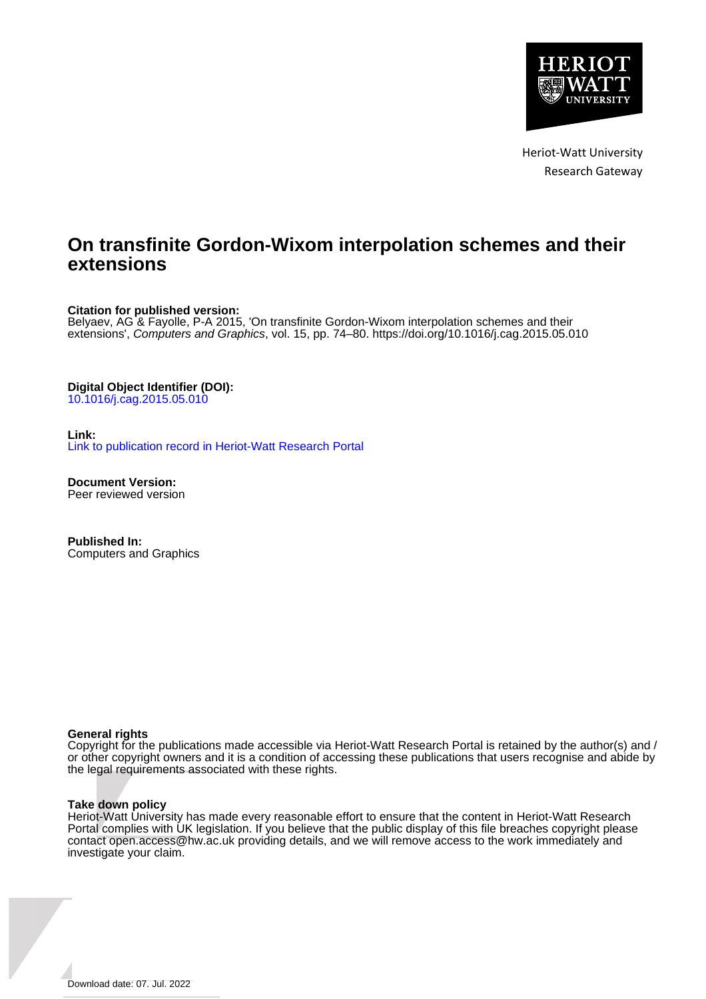

Heriot-Watt University Research Gateway

# **On transfinite Gordon-Wixom interpolation schemes and their extensions**

**Citation for published version:**

Belyaev, AG & Fayolle, P-A 2015, 'On transfinite Gordon-Wixom interpolation schemes and their extensions', Computers and Graphics, vol. 15, pp. 74–80.<https://doi.org/10.1016/j.cag.2015.05.010>

**Digital Object Identifier (DOI):** [10.1016/j.cag.2015.05.010](https://doi.org/10.1016/j.cag.2015.05.010)

**Link:** [Link to publication record in Heriot-Watt Research Portal](https://researchportal.hw.ac.uk/en/publications/f037ac62-7b5b-49b0-8ef3-86f0bdfd4e2a)

**Document Version:** Peer reviewed version

**Published In:** Computers and Graphics

### **General rights**

Copyright for the publications made accessible via Heriot-Watt Research Portal is retained by the author(s) and / or other copyright owners and it is a condition of accessing these publications that users recognise and abide by the legal requirements associated with these rights.

### **Take down policy**

Heriot-Watt University has made every reasonable effort to ensure that the content in Heriot-Watt Research Portal complies with UK legislation. If you believe that the public display of this file breaches copyright please contact open.access@hw.ac.uk providing details, and we will remove access to the work immediately and investigate your claim.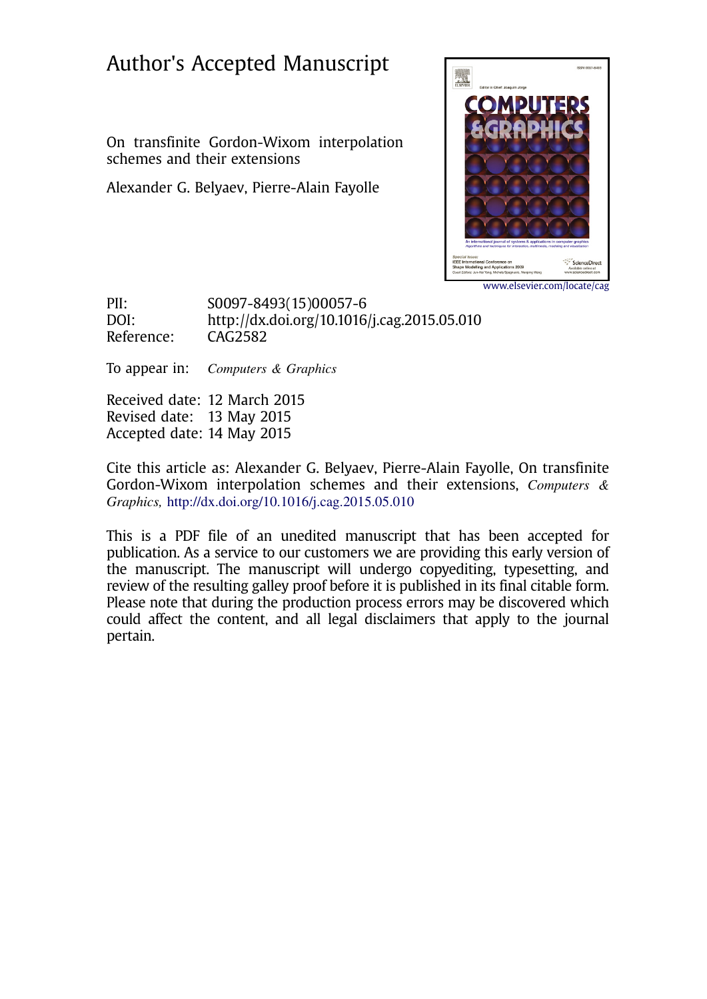# Author's Accepted Manuscript

On transfinite Gordon-Wixom interpolation schemes and their extensions

Alexander G. Belyaev, Pierre-Alain Fayolle



www.elsevier.com/locate/cag

PII: S0097-8493(15)00057-6<br>DOI: http://dx.doi.org/10.1016 http://dx.doi.org/10.1016/j.cag.2015.05.010 Reference: CAG2582

To appear in: Computers & Graphics

Received date: 12 March 2015 Revised date: 13 May 2015 Accepted date: 14 May 2015

Cite this article as: Alexander G. Belyaev, Pierre-Alain Fayolle, On transfinite Gordon-Wixom interpolation schemes and their extensions, Computers & Graphics, <http://dx.doi.org/10.1016/j.cag.2015.05.010>

This is a PDF file of an unedited manuscript that has been accepted for publication. As a service to our customers we are providing this early version of the manuscript. The manuscript will undergo copyediting, typesetting, and review of the resulting galley proof before it is published in its final citable form. Please note that during the production process errors may be discovered which could affect the content, and all legal disclaimers that apply to the journal pertain.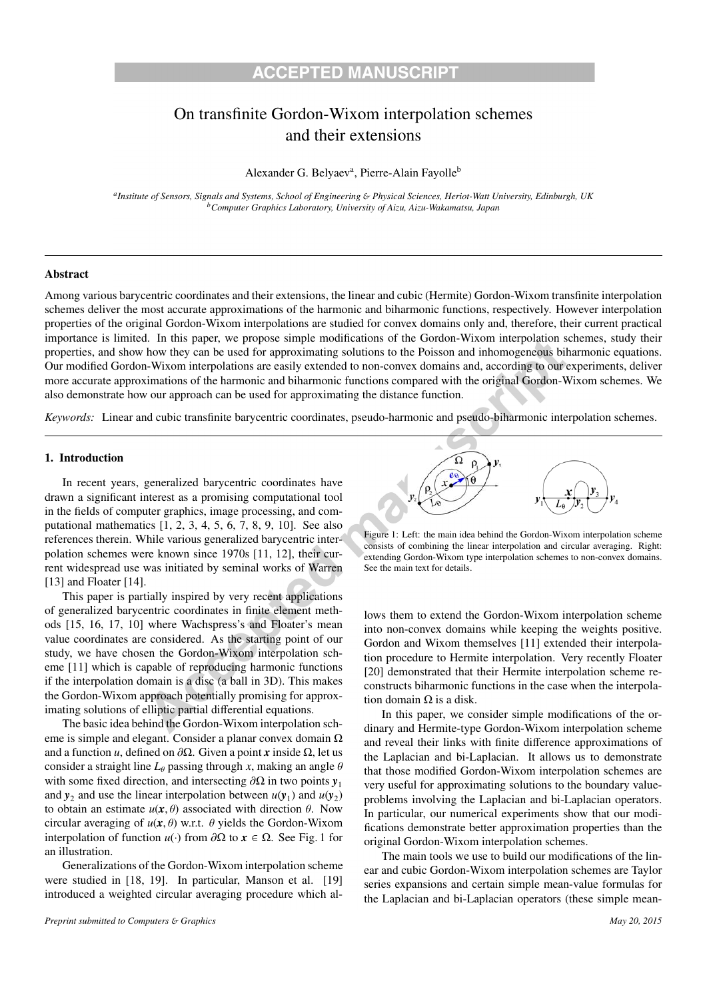## On transfinite Gordon-Wixom interpolation schemes and their extensions

Alexander G. Belyaev<sup>a</sup>, Pierre-Alain Fayolle<sup>b</sup>

*aInstitute of Sensors, Signals and Systems, School of Engineering* & *Physical Sciences, Heriot-Watt University, Edinburgh, UK bComputer Graphics Laboratory, University of Aizu, Aizu-Wakamatsu, Japan*

### Abstract

Among various barycentric coordinates and their extensions, the linear and cubic (Hermite) Gordon-Wixom transfinite interpolation schemes deliver the most accurate approximations of the harmonic and biharmonic functions, respectively. However interpolation properties of the original Gordon-Wixom interpolations are studied for convex domains only and, therefore, their current practical importance is limited. In this paper, we propose simple modifications of the Gordon-Wixom interpolation schemes, study their properties, and show how they can be used for approximating solutions to the Poisson and inhomogeneous biharmonic equations. Our modified Gordon-Wixom interpolations are easily extended to non-convex domains and, according to our experiments, deliver more accurate approximations of the harmonic and biharmonic functions compared with the original Gordon-Wixom schemes. We also demonstrate how our approach can be used for approximating the distance function.

*Keywords:* Linear and cubic transfinite barycentric coordinates, pseudo-harmonic and pseudo-biharmonic interpolation schemes.

#### 1. Introduction

In recent years, generalized barycentric coordinates have drawn a significant interest as a promising computational tool in the fields of computer graphics, image processing, and computational mathematics [1, 2, 3, 4, 5, 6, 7, 8, 9, 10]. See also references therein. While various generalized barycentric interpolation schemes were known since 1970s [11, 12], their current widespread use was initiated by seminal works of Warren [13] and Floater [14].

This paper is partially inspired by very recent applications of generalized barycentric coordinates in finite element methods [15, 16, 17, 10] where Wachspress's and Floater's mean value coordinates are considered. As the starting point of our study, we have chosen the Gordon-Wixom interpolation scheme [11] which is capable of reproducing harmonic functions if the interpolation domain is a disc (a ball in 3D). This makes the Gordon-Wixom approach potentially promising for approximating solutions of elliptic partial differential equations.

The basic idea behind the Gordon-Wixom interpolation scheme is simple and elegant. Consider a planar convex domain  $\Omega$ and a function *u*, defined on  $\partial Ω$ . Given a point *x* inside  $Ω$ , let us consider a straight line  $L_{\theta}$  passing through *x*, making an angle  $\theta$ with some fixed direction, and intersecting ∂Ω in two points *y*<sup>1</sup> and  $y_2$  and use the linear interpolation between  $u(y_1)$  and  $u(y_2)$ to obtain an estimate  $u(x, \theta)$  associated with direction  $\theta$ . Now circular averaging of  $u(x, \theta)$  w.r.t.  $\theta$  yields the Gordon-Wixom interpolation of function *u*(·) from ∂Ω to *x* ∈ Ω. See Fig. 1 for an illustration.

Generalizations of the Gordon-Wixom interpolation scheme were studied in [18, 19]. In particular, Manson et al. [19] introduced a weighted circular averaging procedure which al-



Figure 1: Left: the main idea behind the Gordon-Wixom interpolation scheme consists of combining the linear interpolation and circular averaging. Right: extending Gordon-Wixom type interpolation schemes to non-convex domains. See the main text for details.

lows them to extend the Gordon-Wixom interpolation scheme into non-convex domains while keeping the weights positive. Gordon and Wixom themselves [11] extended their interpolation procedure to Hermite interpolation. Very recently Floater [20] demonstrated that their Hermite interpolation scheme reconstructs biharmonic functions in the case when the interpolation domain  $\Omega$  is a disk.

In this paper, we consider simple modifications of the ordinary and Hermite-type Gordon-Wixom interpolation scheme and reveal their links with finite difference approximations of the Laplacian and bi-Laplacian. It allows us to demonstrate that those modified Gordon-Wixom interpolation schemes are very useful for approximating solutions to the boundary valueproblems involving the Laplacian and bi-Laplacian operators. In particular, our numerical experiments show that our modifications demonstrate better approximation properties than the original Gordon-Wixom interpolation schemes.

The main tools we use to build our modifications of the linear and cubic Gordon-Wixom interpolation schemes are Taylor series expansions and certain simple mean-value formulas for the Laplacian and bi-Laplacian operators (these simple mean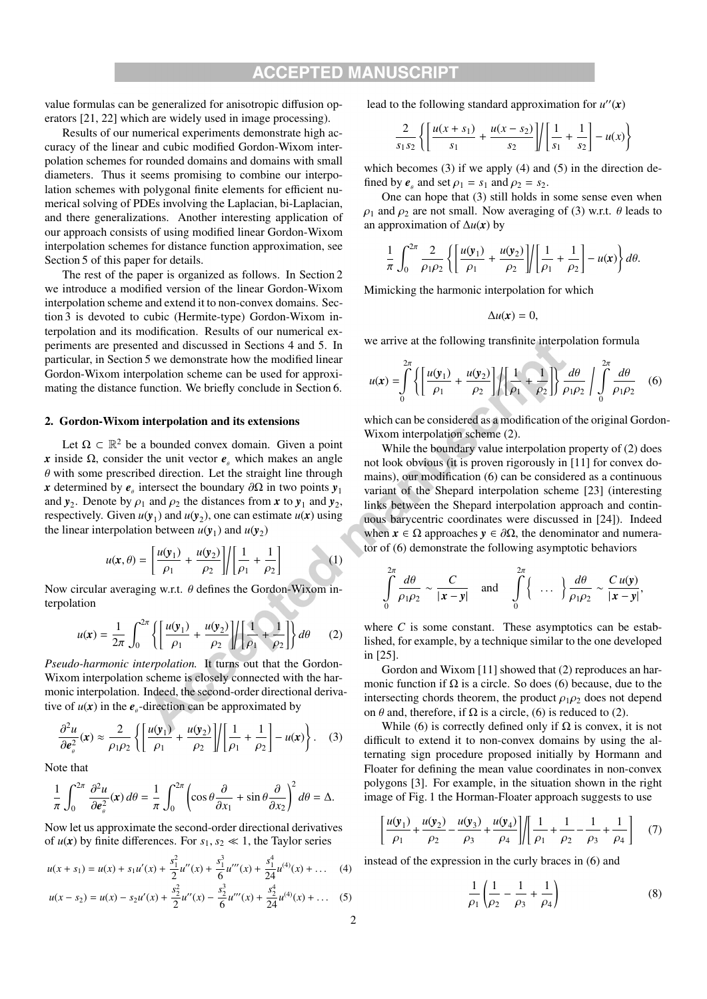value formulas can be generalized for anisotropic diffusion operators [21, 22] which are widely used in image processing).

Results of our numerical experiments demonstrate high accuracy of the linear and cubic modified Gordon-Wixom interpolation schemes for rounded domains and domains with small diameters. Thus it seems promising to combine our interpolation schemes with polygonal finite elements for efficient numerical solving of PDEs involving the Laplacian, bi-Laplacian, and there generalizations. Another interesting application of our approach consists of using modified linear Gordon-Wixom interpolation schemes for distance function approximation, see Section 5 of this paper for details.

The rest of the paper is organized as follows. In Section 2 we introduce a modified version of the linear Gordon-Wixom interpolation scheme and extend it to non-convex domains. Section 3 is devoted to cubic (Hermite-type) Gordon-Wixom interpolation and its modification. Results of our numerical experiments are presented and discussed in Sections 4 and 5. In particular, in Section 5 we demonstrate how the modified linear Gordon-Wixom interpolation scheme can be used for approximating the distance function. We briefly conclude in Section 6.

### 2. Gordon-Wixom interpolation and its extensions

Let  $\Omega \subset \mathbb{R}^2$  be a bounded convex domain. Given a point *x* inside  $\Omega$ , consider the unit vector  $e_{\theta}$  which makes an angle  $\theta$  with some prescribed direction. Let the straight line through *x* determined by  $e_{\theta}$  intersect the boundary  $\partial \Omega$  in two points  $y_1$ and  $y_2$ . Denote by  $\rho_1$  and  $\rho_2$  the distances from *x* to  $y_1$  and  $y_2$ , respectively. Given  $u(y_1)$  and  $u(y_2)$ , one can estimate  $u(x)$  using the linear interpolation between  $u(y_1)$  and  $u(y_2)$ 

$$
u(\mathbf{x}, \theta) = \left[\frac{u(\mathbf{y}_1)}{\rho_1} + \frac{u(\mathbf{y}_2)}{\rho_2}\right] / \left[\frac{1}{\rho_1} + \frac{1}{\rho_2}\right]
$$
(1)

Now circular averaging w.r.t. θ defines the Gordon-Wixom interpolation

$$
u(\mathbf{x}) = \frac{1}{2\pi} \int_0^{2\pi} \left\{ \left[ \frac{u(\mathbf{y}_1)}{\rho_1} + \frac{u(\mathbf{y}_2)}{\rho_2} \right] \middle| \left[ \frac{1}{\rho_1} + \frac{1}{\rho_2} \right] \right\} d\theta \qquad (2)
$$

*Pseudo-harmonic interpolation.* It turns out that the Gordon-Wixom interpolation scheme is closely connected with the harmonic interpolation. Indeed, the second-order directional derivative of  $u(x)$  in the  $e_{\theta}$ -direction can be approximated by

$$
\frac{\partial^2 u}{\partial \boldsymbol{e}_\theta^2}(\mathbf{x}) \approx \frac{2}{\rho_1 \rho_2} \left\{ \left[ \frac{u(\mathbf{y}_1)}{\rho_1} + \frac{u(\mathbf{y}_2)}{\rho_2} \right] \middle| \left[ \frac{1}{\rho_1} + \frac{1}{\rho_2} \right] - u(\mathbf{x}) \right\}. \quad (3)
$$

Note that

$$
\frac{1}{\pi} \int_0^{2\pi} \frac{\partial^2 u}{\partial e_\theta^2}(\mathbf{x}) d\theta = \frac{1}{\pi} \int_0^{2\pi} \left( \cos \theta \frac{\partial}{\partial x_1} + \sin \theta \frac{\partial}{\partial x_2} \right)^2 d\theta = \Delta.
$$

Now let us approximate the second-order directional derivatives of  $u(x)$  by finite differences. For  $s_1, s_2 \ll 1$ , the Taylor series

$$
u(x + s_1) = u(x) + s_1 u'(x) + \frac{s_1^2}{2} u''(x) + \frac{s_1^3}{6} u'''(x) + \frac{s_1^4}{24} u^{(4)}(x) + \dots
$$
 (4)  

$$
u(x - s_2) = u(x) - s_2 u'(x) + \frac{s_2^2}{2} u''(x) - \frac{s_2^3}{6} u'''(x) + \frac{s_2^4}{24} u^{(4)}(x) + \dots
$$
 (5)

lead to the following standard approximation for  $u''(x)$ 

$$
\frac{2}{s_1 s_2} \left\{ \left[ \frac{u(x+s_1)}{s_1} + \frac{u(x-s_2)}{s_2} \right] \middle| \left[ \frac{1}{s_1} + \frac{1}{s_2} \right] - u(x) \right\}
$$

which becomes (3) if we apply (4) and (5) in the direction defined by  $e_{\alpha}$  and set  $\rho_1 = s_1$  and  $\rho_2 = s_2$ .

One can hope that (3) still holds in some sense even when  $\rho_1$  and  $\rho_2$  are not small. Now averaging of (3) w.r.t.  $\theta$  leads to an approximation of  $\Delta u(x)$  by

$$
\frac{1}{\pi}\int_0^{2\pi}\frac{2}{\rho_1\rho_2}\left\{\left[\frac{u(\mathbf{y}_1)}{\rho_1}+\frac{u(\mathbf{y}_2)}{\rho_2}\right]\right/\left[\frac{1}{\rho_1}+\frac{1}{\rho_2}\right]-u(\mathbf{x})\right\}d\theta.
$$

Mimicking the harmonic interpolation for which

$$
\Delta u(x)=0,
$$

we arrive at the following transfinite interpolation formula

$$
u(\mathbf{x}) = \int_0^{2\pi} \left\{ \left[ \frac{u(\mathbf{y}_1)}{\rho_1} + \frac{u(\mathbf{y}_2)}{\rho_2} \right] \middle| \left[ \frac{1}{\rho_1} + \frac{1}{\rho_2} \right] \right\} \frac{d\theta}{\rho_1 \rho_2} \int_0^{2\pi} \frac{d\theta}{\rho_1 \rho_2} \quad (6)
$$

which can be considered as a modification of the original Gordon-Wixom interpolation scheme (2).

While the boundary value interpolation property of (2) does not look obvious (it is proven rigorously in [11] for convex domains), our modification (6) can be considered as a continuous variant of the Shepard interpolation scheme [23] (interesting links between the Shepard interpolation approach and continuous barycentric coordinates were discussed in [24]). Indeed when  $x \in \Omega$  approaches  $y \in \partial \Omega$ , the denominator and numerator of (6) demonstrate the following asymptotic behaviors

$$
\int_{0}^{2\pi} \frac{d\theta}{\rho_1 \rho_2} \sim \frac{C}{|\mathbf{x} - \mathbf{y}|} \quad \text{and} \quad \int_{0}^{2\pi} \left\{ \dots \right\} \frac{d\theta}{\rho_1 \rho_2} \sim \frac{C u(\mathbf{y})}{|\mathbf{x} - \mathbf{y}|},
$$

where *C* is some constant. These asymptotics can be established, for example, by a technique similar to the one developed in [25].

Gordon and Wixom [11] showed that (2) reproduces an harmonic function if  $\Omega$  is a circle. So does (6) because, due to the intersecting chords theorem, the product  $\rho_1 \rho_2$  does not depend on  $\theta$  and, therefore, if  $\Omega$  is a circle, (6) is reduced to (2).

While (6) is correctly defined only if  $\Omega$  is convex, it is not difficult to extend it to non-convex domains by using the alternating sign procedure proposed initially by Hormann and Floater for defining the mean value coordinates in non-convex polygons [3]. For example, in the situation shown in the right image of Fig. 1 the Horman-Floater approach suggests to use

$$
\left[\frac{u(\mathbf{y}_1)}{\rho_1} + \frac{u(\mathbf{y}_2)}{\rho_2} - \frac{u(\mathbf{y}_3)}{\rho_3} + \frac{u(\mathbf{y}_4)}{\rho_4}\right] \left\| \frac{1}{\rho_1} + \frac{1}{\rho_2} - \frac{1}{\rho_3} + \frac{1}{\rho_4} \right\} \quad (7)
$$

instead of the expression in the curly braces in (6) and

$$
\frac{1}{\rho_1} \left( \frac{1}{\rho_2} - \frac{1}{\rho_3} + \frac{1}{\rho_4} \right) \tag{8}
$$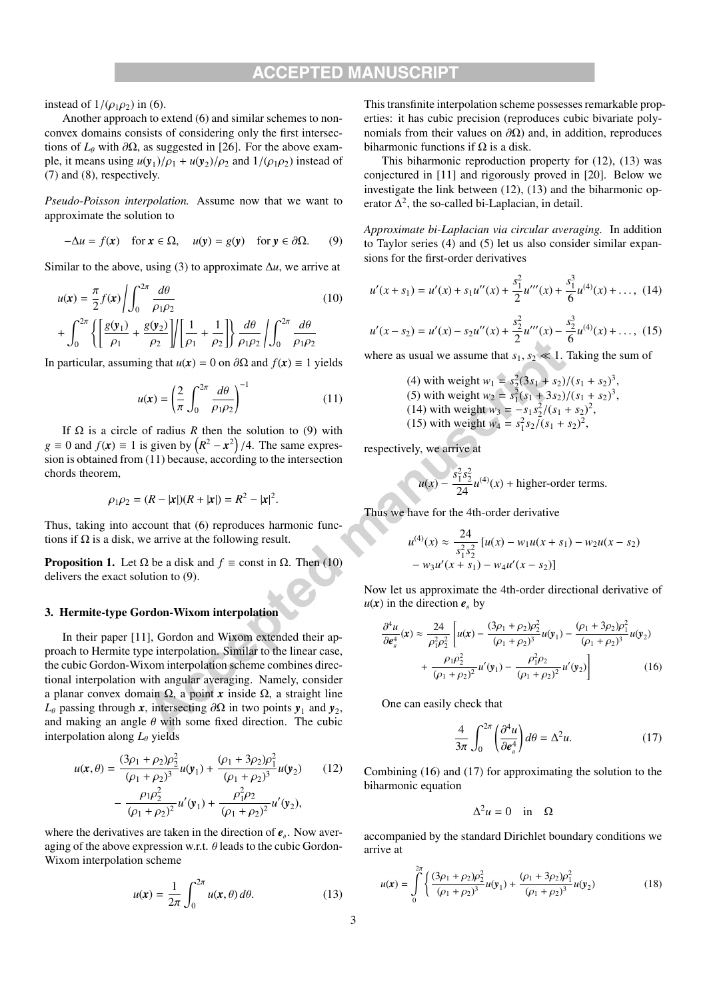instead of  $1/(\rho_1 \rho_2)$  in (6).

Another approach to extend (6) and similar schemes to nonconvex domains consists of considering only the first intersections of  $L$ <sup>θ</sup> with ∂Ω, as suggested in [26]. For the above example, it means using  $u(y_1)/\rho_1 + u(y_2)/\rho_2$  and  $1/(\rho_1 \rho_2)$  instead of (7) and (8), respectively.

*Pseudo-Poisson interpolation.* Assume now that we want to approximate the solution to

$$
-\Delta u = f(x) \quad \text{for } x \in \Omega, \quad u(y) = g(y) \quad \text{for } y \in \partial\Omega. \tag{9}
$$

Similar to the above, using (3) to approximate  $\Delta u$ , we arrive at

$$
u(\mathbf{x}) = \frac{\pi}{2} f(\mathbf{x}) \left| \int_0^{2\pi} \frac{d\theta}{\rho_1 \rho_2} \right|
$$
  
+ 
$$
\int_0^{2\pi} \left\{ \left[ \frac{g(\mathbf{y}_1)}{\rho_1} + \frac{g(\mathbf{y}_2)}{\rho_2} \right] \right| \left[ \frac{1}{\rho_1} + \frac{1}{\rho_2} \right] \right\} \frac{d\theta}{\rho_1 \rho_2} \left| \int_0^{2\pi} \frac{d\theta}{\rho_1 \rho_2} \right|
$$
 (10)

In particular, assuming that  $u(x) = 0$  on  $\partial\Omega$  and  $f(x) \equiv 1$  yields

$$
u(\mathbf{x}) = \left(\frac{2}{\pi} \int_0^{2\pi} \frac{d\theta}{\rho_1 \rho_2}\right)^{-1} \tag{11}
$$

If  $\Omega$  is a circle of radius *R* then the solution to (9) with  $g \equiv 0$  and  $f(\mathbf{x}) \equiv 1$  is given by  $(R^2 - \mathbf{x}^2)/4$ . The same expression is obtained from (11) because, according to the intersection chords theorem,

$$
\rho_1 \rho_2 = (R - |\mathbf{x}|)(R + |\mathbf{x}|) = R^2 - |\mathbf{x}|^2.
$$

Thus, taking into account that (6) reproduces harmonic functions if  $\Omega$  is a disk, we arrive at the following result.

**Proposition 1.** Let  $\Omega$  be a disk and  $f \equiv$  const in  $\Omega$ . Then (10) delivers the exact solution to (9).

### 3. Hermite-type Gordon-Wixom interpolation

In their paper [11], Gordon and Wixom extended their approach to Hermite type interpolation. Similar to the linear case, the cubic Gordon-Wixom interpolation scheme combines directional interpolation with angular averaging. Namely, consider a planar convex domain Ω, a point *x* inside Ω, a straight line  $L_{\theta}$  passing through *x*, intersecting  $\partial\Omega$  in two points *y*<sub>1</sub> and *y*<sub>2</sub>, and making an angle  $\theta$  with some fixed direction. The cubic interpolation along  $L_{\theta}$  yields

$$
u(\mathbf{x}, \theta) = \frac{(3\rho_1 + \rho_2)\rho_2^2}{(\rho_1 + \rho_2)^3} u(\mathbf{y}_1) + \frac{(\rho_1 + 3\rho_2)\rho_1^2}{(\rho_1 + \rho_2)^3} u(\mathbf{y}_2)
$$
(12)  

$$
- \frac{\rho_1 \rho_2^2}{(\rho_1 + \rho_2)^2} u'(\mathbf{y}_1) + \frac{\rho_1^2 \rho_2}{(\rho_1 + \rho_2)^2} u'(\mathbf{y}_2),
$$

where the derivatives are taken in the direction of  $e_{\alpha}$ . Now averaging of the above expression w.r.t.  $\theta$  leads to the cubic Gordon-Wixom interpolation scheme

$$
u(\mathbf{x}) = \frac{1}{2\pi} \int_0^{2\pi} u(\mathbf{x}, \theta) \, d\theta. \tag{13}
$$

This transfinite interpolation scheme possesses remarkable properties: it has cubic precision (reproduces cubic bivariate polynomials from their values on  $\partial Ω$ ) and, in addition, reproduces biharmonic functions if  $\Omega$  is a disk.

This biharmonic reproduction property for (12), (13) was conjectured in [11] and rigorously proved in [20]. Below we investigate the link between (12), (13) and the biharmonic operator  $\Delta^2$ , the so-called bi-Laplacian, in detail.

*Approximate bi-Laplacian via circular averaging.* In addition to Taylor series (4) and (5) let us also consider similar expansions for the first-order derivatives

$$
u'(x+s_1) = u'(x) + s_1 u''(x) + \frac{s_1^2}{2} u'''(x) + \frac{s_1^3}{6} u^{(4)}(x) + \dots, \tag{14}
$$

$$
u'(x-s_2) = u'(x) - s_2 u''(x) + \frac{s_2^2}{2} u'''(x) - \frac{s_2^3}{6} u^{(4)}(x) + \dots, (15)
$$

where as usual we assume that  $s_1, s_2 \ll 1$ . Taking the sum of

(4) with weight 
$$
w_1 = s_2^2(3s_1 + s_2)/(s_1 + s_2)^3
$$
,  
(5) with weight  $w_2 = s_1^2(s_1 + 3s_2)/(s_1 + s_2)^3$ ,  
(14) with weight  $w_3 = -s_1s_2^2/(s_1 + s_2)^2$ ,  
(15) with weight  $w_4 = s_1^2s_2/(s_1 + s_2)^2$ ,

respectively, we arrive at

$$
u(x) - \frac{s_1^2 s_2^2}{24} u^{(4)}(x) + \text{higher-order terms}.
$$

Thus we have for the 4th-order derivative

$$
u^{(4)}(x) \approx \frac{24}{s_1^2 s_2^2} [u(x) - w_1 u(x + s_1) - w_2 u(x - s_2)
$$
  
-  $w_3 u'(x + s_1) - w_4 u'(x - s_2)]$ 

Now let us approximate the 4th-order directional derivative of  $u(x)$  in the direction  $e_{\theta}$  by

$$
\frac{\partial^4 u}{\partial e_\theta^4}(\mathbf{x}) \approx \frac{24}{\rho_1^2 \rho_2^2} \left[ u(\mathbf{x}) - \frac{(3\rho_1 + \rho_2)\rho_2^2}{(\rho_1 + \rho_2)^3} u(\mathbf{y}_1) - \frac{(\rho_1 + 3\rho_2)\rho_1^2}{(\rho_1 + \rho_2)^3} u(\mathbf{y}_2) + \frac{\rho_1 \rho_2^2}{(\rho_1 + \rho_2)^2} u'(\mathbf{y}_1) - \frac{\rho_1^2 \rho_2}{(\rho_1 + \rho_2)^2} u'(\mathbf{y}_2) \right]
$$
(16)

One can easily check that

$$
\frac{4}{3\pi} \int_0^{2\pi} \left(\frac{\partial^4 u}{\partial e_\theta^4}\right) d\theta = \Delta^2 u. \tag{17}
$$

Combining (16) and (17) for approximating the solution to the biharmonic equation

$$
\Delta^2 u = 0 \quad \text{in} \quad \Omega
$$

accompanied by the standard Dirichlet boundary conditions we arrive at

$$
u(\mathbf{x}) = \int_{0}^{2\pi} \left\{ \frac{(3\rho_1 + \rho_2)\rho_2^2}{(\rho_1 + \rho_2)^3} u(\mathbf{y}_1) + \frac{(\rho_1 + 3\rho_2)\rho_1^2}{(\rho_1 + \rho_2)^3} u(\mathbf{y}_2) \right\}
$$
(18)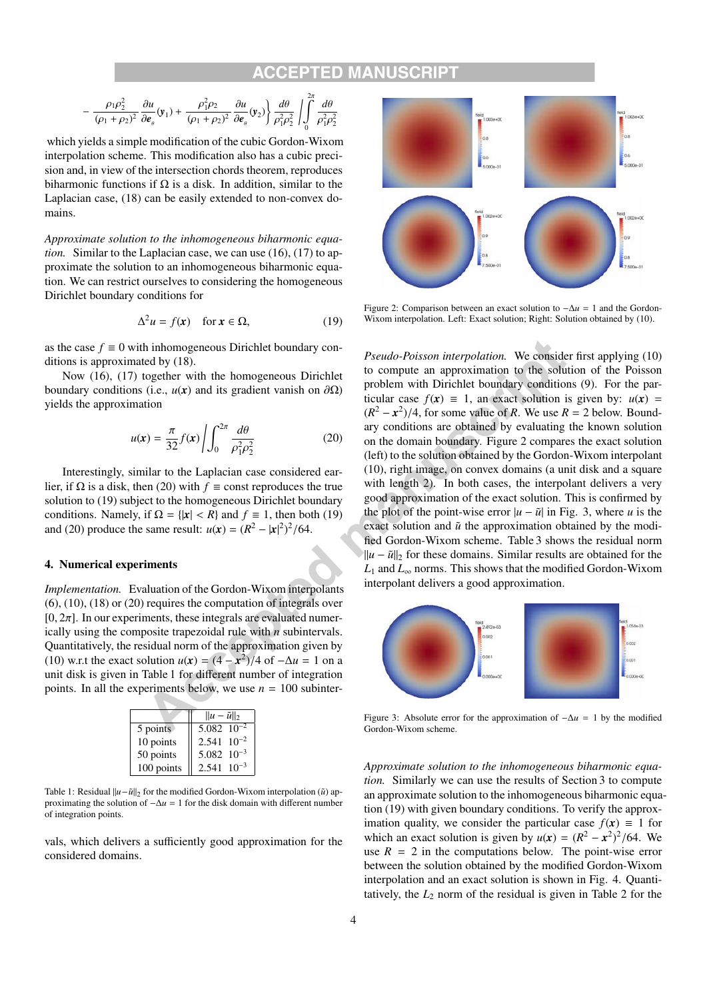### TED MA

$$
-\frac{\rho_1\rho_2^2}{(\rho_1+\rho_2)^2}\frac{\partial u}{\partial \boldsymbol{\epsilon}_{_\theta}}(\boldsymbol{y}_1)+\frac{\rho_1^2\rho_2}{(\rho_1+\rho_2)^2}\frac{\partial u}{\partial \boldsymbol{\epsilon}_{_\theta}}(\boldsymbol{y}_2)\Bigg\}\frac{d\theta}{\rho_1^2\rho_2^2}\left|\int\limits_0^{2\pi}\frac{d\theta}{\rho_1^2\rho_2^2}\right.
$$

which yields a simple modification of the cubic Gordon-Wixom interpolation scheme. This modification also has a cubic precision and, in view of the intersection chords theorem, reproduces biharmonic functions if  $\Omega$  is a disk. In addition, similar to the Laplacian case, (18) can be easily extended to non-convex domains.

*Approximate solution to the inhomogeneous biharmonic equation.* Similar to the Laplacian case, we can use (16), (17) to approximate the solution to an inhomogeneous biharmonic equation. We can restrict ourselves to considering the homogeneous Dirichlet boundary conditions for

$$
\Delta^2 u = f(\mathbf{x}) \quad \text{for } \mathbf{x} \in \Omega,
$$
 (19)

as the case  $f \equiv 0$  with inhomogeneous Dirichlet boundary conditions is approximated by (18).

Now (16), (17) together with the homogeneous Dirichlet boundary conditions (i.e.,  $u(x)$  and its gradient vanish on  $\partial\Omega$ ) yields the approximation

$$
u(\mathbf{x}) = \frac{\pi}{32} f(\mathbf{x}) \left| \int_0^{2\pi} \frac{d\theta}{\rho_1^2 \rho_2^2} \right| \tag{20}
$$

Interestingly, similar to the Laplacian case considered earlier, if  $\Omega$  is a disk, then (20) with  $f \equiv$  const reproduces the true solution to (19) subject to the homogeneous Dirichlet boundary conditions. Namely, if  $\Omega = \{ |x| < R \}$  and  $f \equiv 1$ , then both (19) and (20) produce the same result:  $u(x) = (R^2 - |x|^2)^2/64$ .

#### 4. Numerical experiments

*Implementation.* Evaluation of the Gordon-Wixom interpolants (6), (10), (18) or (20) requires the computation of integrals over  $[0, 2\pi]$ . In our experiments, these integrals are evaluated numerically using the composite trapezoidal rule with *n* subintervals. Quantitatively, the residual norm of the approximation given by (10) w.r.t the exact solution  $u(x) = (4 - x^2)/4$  of  $-\Delta u = 1$  on a unit disk is given in Table 1 for different number of integration points. In all the experiments below, we use  $n = 100$  subinter-

|            | $  u - \tilde{u}  _2$      |  |
|------------|----------------------------|--|
| 5 points   | 5.082 $\overline{10^{-2}}$ |  |
| 10 points  | $2.541 \ 10^{-2}$          |  |
| 50 points  | $5.082 \ 10^{-3}$          |  |
| 100 points | $2.541 \cdot 10^{-3}$      |  |

Table 1: Residual  $||u-\tilde{u}||_2$  for the modified Gordon-Wixom interpolation ( $\tilde{u}$ ) approximating the solution of  $-\Delta u = 1$  for the disk domain with different number of integration points.

vals, which delivers a sufficiently good approximation for the considered domains.



Figure 2: Comparison between an exact solution to −Δ*u* = 1 and the Gordon-Wixom interpolation. Left: Exact solution; Right: Solution obtained by (10).

*Pseudo-Poisson interpolation.* We consider first applying (10) to compute an approximation to the solution of the Poisson problem with Dirichlet boundary conditions (9). For the particular case  $f(x) \equiv 1$ , an exact solution is given by:  $u(x) =$  $(R^2 - x^2)/4$ , for some value of *R*. We use  $R = 2$  below. Boundary conditions are obtained by evaluating the known solution on the domain boundary. Figure 2 compares the exact solution (left) to the solution obtained by the Gordon-Wixom interpolant (10), right image, on convex domains (a unit disk and a square with length 2). In both cases, the interpolant delivers a very good approximation of the exact solution. This is confirmed by the plot of the point-wise error  $|u - \tilde{u}|$  in Fig. 3, where *u* is the exact solution and  $\tilde{u}$  the approximation obtained by the modified Gordon-Wixom scheme. Table 3 shows the residual norm  $\mathbb{I}[u - \tilde{u}]_2$  for these domains. Similar results are obtained for the  $L_1$  and  $L_\infty$  norms. This shows that the modified Gordon-Wixom interpolant delivers a good approximation.



Figure 3: Absolute error for the approximation of  $-\Delta u = 1$  by the modified Gordon-Wixom scheme.

*Approximate solution to the inhomogeneous biharmonic equation.* Similarly we can use the results of Section 3 to compute an approximate solution to the inhomogeneous biharmonic equation (19) with given boundary conditions. To verify the approximation quality, we consider the particular case  $f(x) \equiv 1$  for which an exact solution is given by  $u(x) = (R^2 - x^2)^2/64$ . We use  $R = 2$  in the computations below. The point-wise error between the solution obtained by the modified Gordon-Wixom interpolation and an exact solution is shown in Fig. 4. Quantitatively, the  $L_2$  norm of the residual is given in Table 2 for the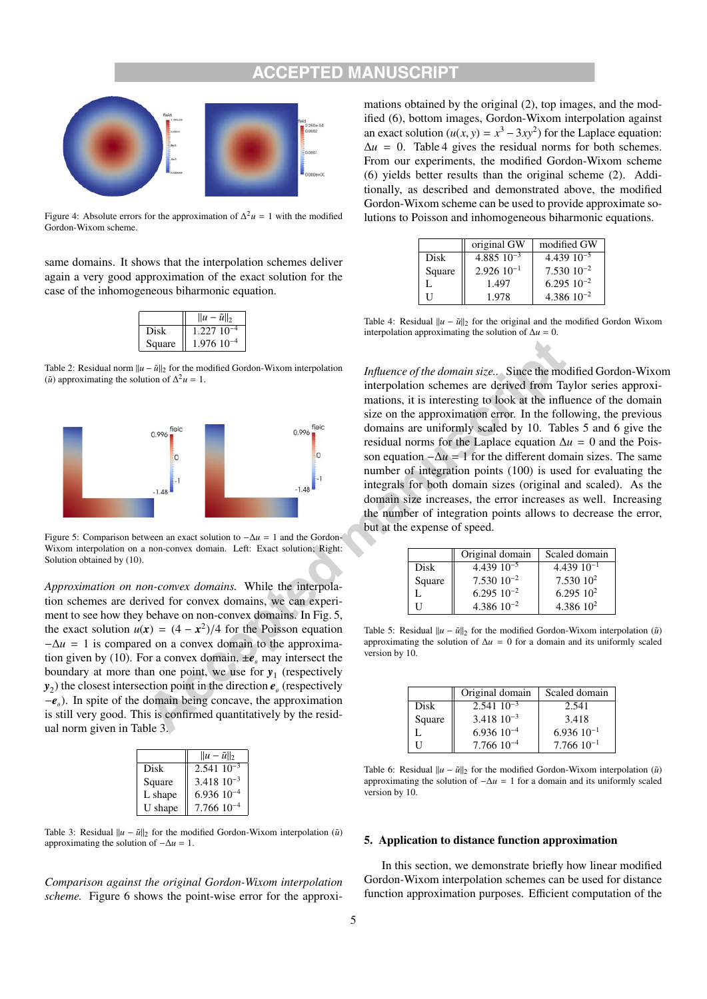### ED MAN



Figure 4: Absolute errors for the approximation of  $\Delta^2 u = 1$  with the modified Gordon-Wixom scheme.

same domains. It shows that the interpolation schemes deliver again a very good approximation of the exact solution for the case of the inhomogeneous biharmonic equation.

|        | $  u - \tilde{u}  _2$ |
|--------|-----------------------|
| Disk   | 1.227 10              |
| Square | $1.976$ $10^{-4}$     |

Table 2: Residual norm  $||u - \tilde{u}||_2$  for the modified Gordon-Wixom interpolation ( $\tilde{u}$ ) approximating the solution of  $\Delta^2 u = 1$ .



Figure 5: Comparison between an exact solution to −Δ*u* = 1 and the Gordon-Wixom interpolation on a non-convex domain. Left: Exact solution; Right: Solution obtained by (10).

*Approximation on non-convex domains.* While the interpolation schemes are derived for convex domains, we can experiment to see how they behave on non-convex domains. In Fig. 5, the exact solution  $u(x) = (4 - x^2)/4$  for the Poisson equation  $-\Delta u = 1$  is compared on a convex domain to the approximation given by (10). For a convex domain,  $\pm e$ <sub>e</sub> may intersect the boundary at more than one point, we use for  $y_1$  (respectively  $y_2$ ) the closest intersection point in the direction  $e_{\theta}$  (respectively  $-e$ <sup>θ</sup> ). In spite of the domain being concave, the approximation is still very good. This is confirmed quantitatively by the residual norm given in Table 3.

|         | $  u - \tilde{u}  _2$ |
|---------|-----------------------|
| Disk    | $2.54110^{-3}$        |
| Square  | $3.418 \ 10^{-3}$     |
| L shape | $6.93610^{-4}$        |
| U shape | $7.76610^{-4}$        |

Table 3: Residual  $||u - \tilde{u}||_2$  for the modified Gordon-Wixom interpolation ( $\tilde{u}$ ) approximating the solution of  $-\Delta u = 1$ .

*Comparison against the original Gordon-Wixom interpolation scheme.* Figure 6 shows the point-wise error for the approxi-

mations obtained by the original (2), top images, and the modified (6), bottom images, Gordon-Wixom interpolation against an exact solution  $(u(x, y) = x^3 - 3xy^2)$  for the Laplace equation:  $\Delta u = 0$ . Table 4 gives the residual norms for both schemes. From our experiments, the modified Gordon-Wixom scheme (6) yields better results than the original scheme (2). Additionally, as described and demonstrated above, the modified Gordon-Wixom scheme can be used to provide approximate solutions to Poisson and inhomogeneous biharmonic equations.

|        | original GW     | modified GW       |
|--------|-----------------|-------------------|
| Disk   | 4.885 $10^{-3}$ | 4.439 $10^{-5}$   |
| Square | $2.92610^{-1}$  | $7.53010^{-2}$    |
| Ι.     | 1.497           | $6.295$ $10^{-2}$ |
| Н      | 1.978           | $4.386$ $10^{-2}$ |

Table 4: Residual  $||u - \tilde{u}||_2$  for the original and the modified Gordon Wixom interpolation approximating the solution of  $\Delta u = 0$ .

*Influence of the domain size..* Since the modified Gordon-Wixom interpolation schemes are derived from Taylor series approximations, it is interesting to look at the influence of the domain size on the approximation error. In the following, the previous domains are uniformly scaled by 10. Tables 5 and 6 give the residual norms for the Laplace equation  $\Delta u = 0$  and the Poisson equation  $-\Delta u = 1$  for the different domain sizes. The same number of integration points (100) is used for evaluating the integrals for both domain sizes (original and scaled). As the domain size increases, the error increases as well. Increasing the number of integration points allows to decrease the error, but at the expense of speed.

|        | Original domain   | Scaled domain   |
|--------|-------------------|-----------------|
| Disk   | $4.439$ $10^{-5}$ | $4.43910^{-1}$  |
| Square | $7.53010^{-2}$    | $7.53010^2$     |
|        | $6.29510^{-2}$    | $6.295\;10^{2}$ |
|        | 4.386 $10^{-2}$   | 4.386 $10^2$    |

Table 5: Residual  $||u - \tilde{u}||_2$  for the modified Gordon-Wixom interpolation ( $\tilde{u}$ ) approximating the solution of  $\Delta u = 0$  for a domain and its uniformly scaled version by 10.

|        | Original domain   | Scaled domain     |
|--------|-------------------|-------------------|
| Disk   | $2.541\ 10^{-3}$  | 2.541             |
| Square | $3.418\ 10^{-3}$  | 3.418             |
|        | $6.93610^{-4}$    | $6.93610^{-1}$    |
|        | $7.766$ $10^{-4}$ | $7.766$ $10^{-1}$ |

Table 6: Residual  $||u - \tilde{u}||_2$  for the modified Gordon-Wixom interpolation ( $\tilde{u}$ ) approximating the solution of  $-\Delta u = 1$  for a domain and its uniformly scaled version by 10.

### 5. Application to distance function approximation

In this section, we demonstrate briefly how linear modified Gordon-Wixom interpolation schemes can be used for distance function approximation purposes. Efficient computation of the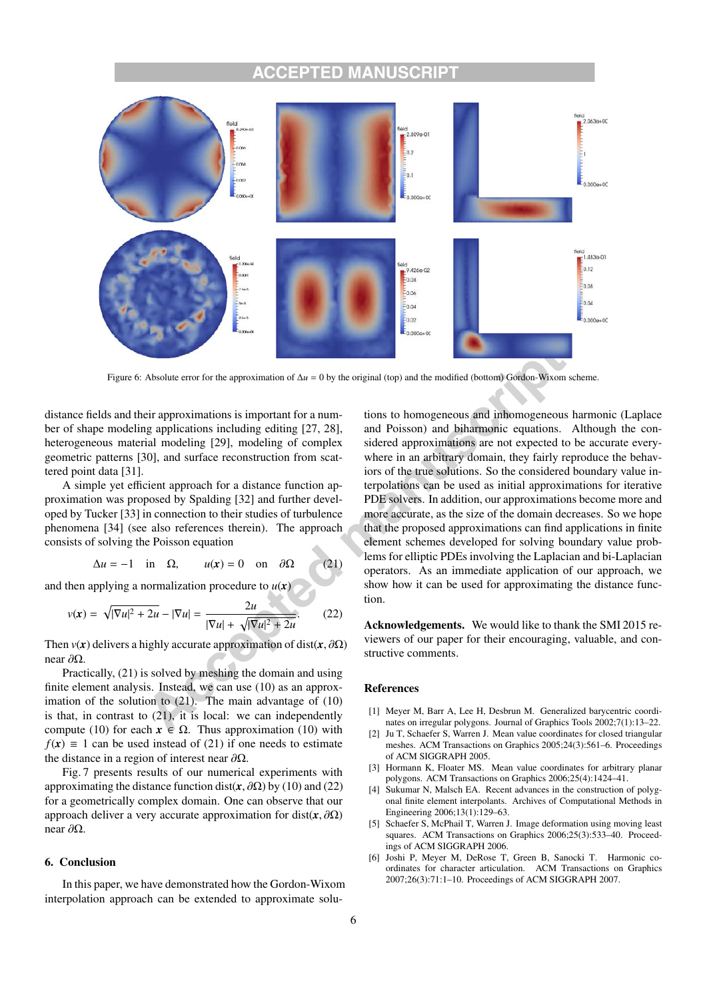#### EPTED MAN ILISCI



Figure 6: Absolute error for the approximation of  $\Delta u = 0$  by the original (top) and the modified (bottom) Gordon-Wixom scheme.

distance fields and their approximations is important for a number of shape modeling applications including editing [27, 28], heterogeneous material modeling [29], modeling of complex geometric patterns [30], and surface reconstruction from scattered point data [31].

A simple yet efficient approach for a distance function approximation was proposed by Spalding [32] and further developed by Tucker [33] in connection to their studies of turbulence phenomena [34] (see also references therein). The approach consists of solving the Poisson equation

$$
\Delta u = -1 \quad \text{in} \quad \Omega, \qquad u(x) = 0 \quad \text{on} \quad \partial \Omega \tag{21}
$$

and then applying a normalization procedure to  $u(x)$ 

$$
v(x) = \sqrt{|\nabla u|^2 + 2u} - |\nabla u| = \frac{2u}{|\nabla u| + \sqrt{|\nabla u|^2 + 2u}}.
$$
 (22)

Then  $v(x)$  delivers a highly accurate approximation of dist( $x, \partial \Omega$ ) near ∂Ω.

Practically, (21) is solved by meshing the domain and using finite element analysis. Instead, we can use (10) as an approximation of the solution to  $(21)$ . The main advantage of  $(10)$ is that, in contrast to (21), it is local: we can independently compute (10) for each  $x \in \Omega$ . Thus approximation (10) with  $f(x) \equiv 1$  can be used instead of (21) if one needs to estimate the distance in a region of interest near  $\partial\Omega$ .

Fig. 7 presents results of our numerical experiments with approximating the distance function dist( $\mathbf{x}, \partial \Omega$ ) by (10) and (22) for a geometrically complex domain. One can observe that our approach deliver a very accurate approximation for dist( $x, \partial\Omega$ ) near ∂Ω.

### 6. Conclusion

In this paper, we have demonstrated how the Gordon-Wixom interpolation approach can be extended to approximate solutions to homogeneous and inhomogeneous harmonic (Laplace and Poisson) and biharmonic equations. Although the considered approximations are not expected to be accurate everywhere in an arbitrary domain, they fairly reproduce the behaviors of the true solutions. So the considered boundary value interpolations can be used as initial approximations for iterative PDE solvers. In addition, our approximations become more and more accurate, as the size of the domain decreases. So we hope that the proposed approximations can find applications in finite element schemes developed for solving boundary value problems for elliptic PDEs involving the Laplacian and bi-Laplacian operators. As an immediate application of our approach, we show how it can be used for approximating the distance function.

Acknowledgements. We would like to thank the SMI 2015 reviewers of our paper for their encouraging, valuable, and constructive comments.

### References

- [1] Meyer M, Barr A, Lee H, Desbrun M. Generalized barycentric coordinates on irregular polygons. Journal of Graphics Tools 2002;7(1):13–22.
- [2] Ju T, Schaefer S, Warren J. Mean value coordinates for closed triangular meshes. ACM Transactions on Graphics 2005;24(3):561–6. Proceedings of ACM SIGGRAPH 2005.
- [3] Hormann K, Floater MS. Mean value coordinates for arbitrary planar polygons. ACM Transactions on Graphics 2006;25(4):1424–41.
- [4] Sukumar N, Malsch EA. Recent advances in the construction of polygonal finite element interpolants. Archives of Computational Methods in Engineering 2006;13(1):129–63.
- [5] Schaefer S, McPhail T, Warren J. Image deformation using moving least squares. ACM Transactions on Graphics 2006;25(3):533–40. Proceedings of ACM SIGGRAPH 2006.
- [6] Joshi P, Meyer M, DeRose T, Green B, Sanocki T. Harmonic coordinates for character articulation. ACM Transactions on Graphics 2007;26(3):71:1–10. Proceedings of ACM SIGGRAPH 2007.